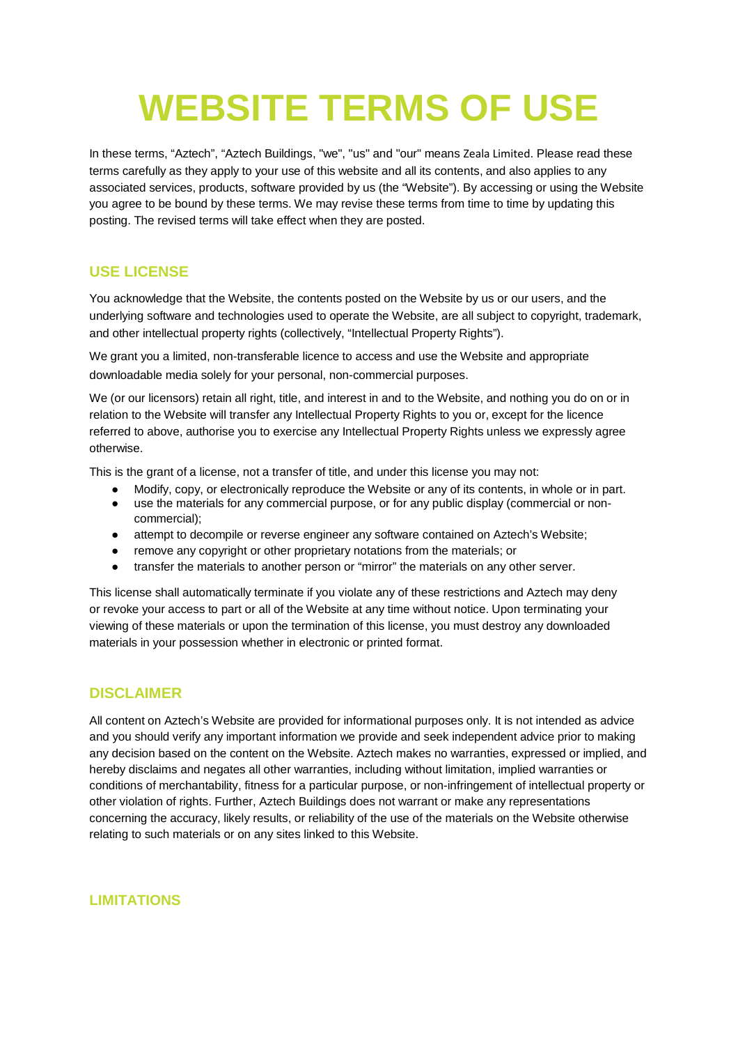# **WEBSITE TERMS OF USE**

In these terms, "Aztech", "Aztech Buildings, "we", "us" and "our" means Zeala Limited. Please read these terms carefully as they apply to your use of this website and all its contents, and also applies to any associated services, products, software provided by us (the "Website"). By accessing or using the Website you agree to be bound by these terms. We may revise these terms from time to time by updating this posting. The revised terms will take effect when they are posted.

#### **USE LICENSE**

You acknowledge that the Website, the contents posted on the Website by us or our users, and the underlying software and technologies used to operate the Website, are all subject to copyright, trademark, and other intellectual property rights (collectively, "Intellectual Property Rights").

We grant you a limited, non-transferable licence to access and use the Website and appropriate downloadable media solely for your personal, non-commercial purposes.

We (or our licensors) retain all right, title, and interest in and to the Website, and nothing you do on or in relation to the Website will transfer any Intellectual Property Rights to you or, except for the licence referred to above, authorise you to exercise any Intellectual Property Rights unless we expressly agree otherwise.

This is the grant of a license, not a transfer of title, and under this license you may not:

- Modify, copy, or electronically reproduce the Website or any of its contents, in whole or in part.
- use the materials for any commercial purpose, or for any public display (commercial or noncommercial);
- attempt to decompile or reverse engineer any software contained on Aztech's Website;
- remove any copyright or other proprietary notations from the materials; or
- transfer the materials to another person or "mirror" the materials on any other server.

This license shall automatically terminate if you violate any of these restrictions and Aztech may deny or revoke your access to part or all of the Website at any time without notice. Upon terminating your viewing of these materials or upon the termination of this license, you must destroy any downloaded materials in your possession whether in electronic or printed format.

## **DISCLAIMER**

All content on Aztech's Website are provided for informational purposes only. It is not intended as advice and you should verify any important information we provide and seek independent advice prior to making any decision based on the content on the Website. Aztech makes no warranties, expressed or implied, and hereby disclaims and negates all other warranties, including without limitation, implied warranties or conditions of merchantability, fitness for a particular purpose, or non-infringement of intellectual property or other violation of rights. Further, Aztech Buildings does not warrant or make any representations concerning the accuracy, likely results, or reliability of the use of the materials on the Website otherwise relating to such materials or on any sites linked to this Website.

#### **LIMITATIONS**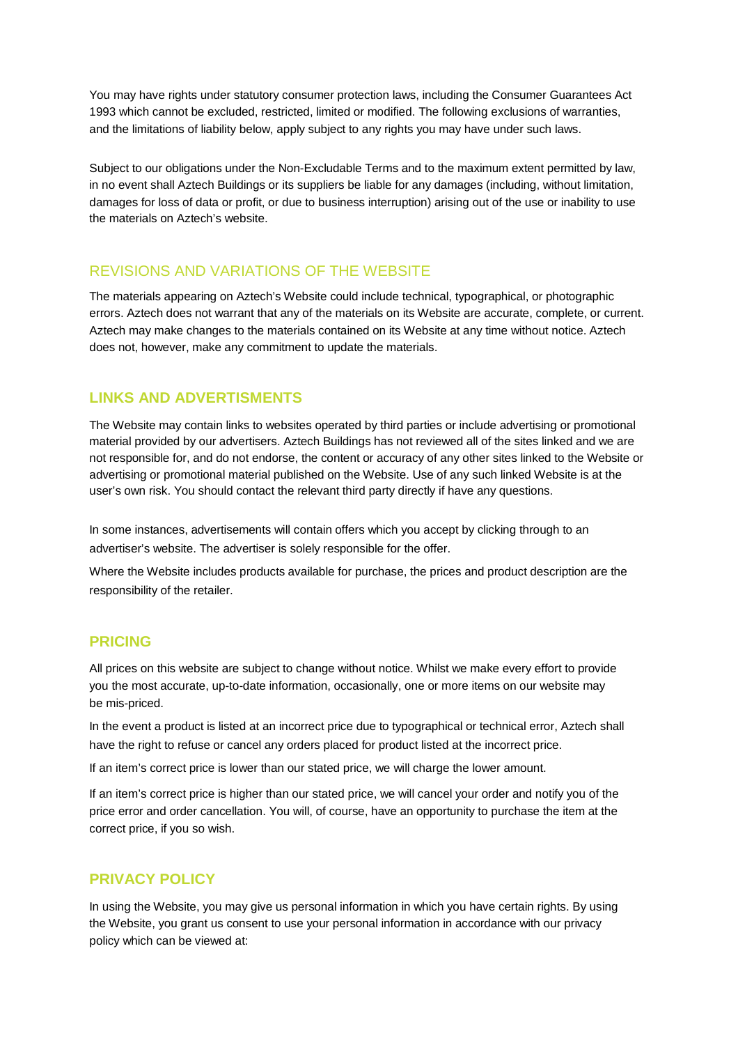You may have rights under statutory consumer protection laws, including the Consumer Guarantees Act 1993 which cannot be excluded, restricted, limited or modified. The following exclusions of warranties, and the limitations of liability below, apply subject to any rights you may have under such laws.

Subject to our obligations under the Non-Excludable Terms and to the maximum extent permitted by law, in no event shall Aztech Buildings or its suppliers be liable for any damages (including, without limitation, damages for loss of data or profit, or due to business interruption) arising out of the use or inability to use the materials on Aztech's website.

# REVISIONS AND VARIATIONS OF THE WEBSITE

The materials appearing on Aztech's Website could include technical, typographical, or photographic errors. Aztech does not warrant that any of the materials on its Website are accurate, complete, or current. Aztech may make changes to the materials contained on its Website at any time without notice. Aztech does not, however, make any commitment to update the materials.

# **LINKS AND ADVERTISMENTS**

The Website may contain links to websites operated by third parties or include advertising or promotional material provided by our advertisers. Aztech Buildings has not reviewed all of the sites linked and we are not responsible for, and do not endorse, the content or accuracy of any other sites linked to the Website or advertising or promotional material published on the Website. Use of any such linked Website is at the user's own risk. You should contact the relevant third party directly if have any questions.

In some instances, advertisements will contain offers which you accept by clicking through to an advertiser's website. The advertiser is solely responsible for the offer.

Where the Website includes products available for purchase, the prices and product description are the responsibility of the retailer.

## **PRICING**

All prices on this website are subject to change without notice. Whilst we make every effort to provide you the most accurate, up-to-date information, occasionally, one or more items on our website may be mis-priced.

In the event a product is listed at an incorrect price due to typographical or technical error, Aztech shall have the right to refuse or cancel any orders placed for product listed at the incorrect price.

If an item's correct price is lower than our stated price, we will charge the lower amount.

If an item's correct price is higher than our stated price, we will cancel your order and notify you of the price error and order cancellation. You will, of course, have an opportunity to purchase the item at the correct price, if you so wish.

# **PRIVACY POLICY**

In using the Website, you may give us personal information in which you have certain rights. By using the Website, you grant us consent to use your personal information in accordance with our privacy policy which can be viewed at: